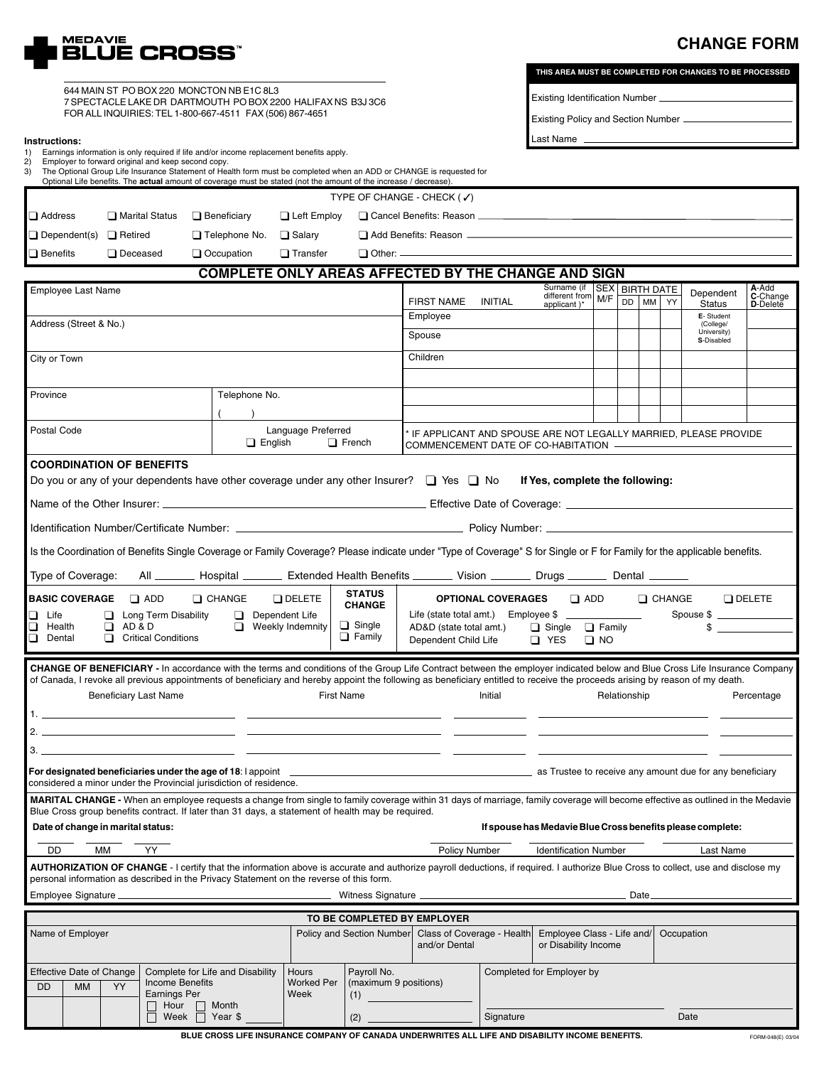

## **CHANGE FORM**

| 644 MAIN ST PO BOX 220 MONCTON NB E1C 8L3                    |
|--------------------------------------------------------------|
| 7 SPECTACLE LAKE DR DARTMOUTH PO BOX 2200 HALIFAX NS B3J 3C6 |
| FOR ALL INQUIRIES: TEL 1-800-667-4511 FAX (506) 867-4651     |

**THIS AREA MUST BE COMPLETED FOR CHANGES TO BE PROCESSED**

Existing Identification Number

Existing Policy and Section Number

| Instructions:                                                                                                                                                                                                       |                                                                                                                                                                |                     |                                                                                                                                                                                                                       |                   |                       |                                                                                                                                            | Last Name _                                                                                                                                                                      |                                                                  |  |  |                            |               |  |
|---------------------------------------------------------------------------------------------------------------------------------------------------------------------------------------------------------------------|----------------------------------------------------------------------------------------------------------------------------------------------------------------|---------------------|-----------------------------------------------------------------------------------------------------------------------------------------------------------------------------------------------------------------------|-------------------|-----------------------|--------------------------------------------------------------------------------------------------------------------------------------------|----------------------------------------------------------------------------------------------------------------------------------------------------------------------------------|------------------------------------------------------------------|--|--|----------------------------|---------------|--|
| 1)<br>2)                                                                                                                                                                                                            | Earnings information is only required if life and/or income replacement benefits apply.<br>Employer to forward original and keep second copy.                  |                     |                                                                                                                                                                                                                       |                   |                       |                                                                                                                                            |                                                                                                                                                                                  |                                                                  |  |  |                            |               |  |
| 3)                                                                                                                                                                                                                  | Optional Life benefits. The actual amount of coverage must be stated (not the amount of the increase / decrease).                                              |                     |                                                                                                                                                                                                                       |                   |                       | The Optional Group Life Insurance Statement of Health form must be completed when an ADD or CHANGE is requested for                        |                                                                                                                                                                                  |                                                                  |  |  |                            |               |  |
|                                                                                                                                                                                                                     |                                                                                                                                                                |                     |                                                                                                                                                                                                                       |                   |                       | TYPE OF CHANGE - CHECK (√)                                                                                                                 |                                                                                                                                                                                  |                                                                  |  |  |                            |               |  |
| <b>□</b> Address                                                                                                                                                                                                    | Marital Status                                                                                                                                                 |                     |                                                                                                                                                                                                                       |                   |                       |                                                                                                                                            |                                                                                                                                                                                  |                                                                  |  |  |                            |               |  |
| $\Box$ Dependent(s) $\Box$ Retired                                                                                                                                                                                  |                                                                                                                                                                |                     | $\Box$ Telephone No.                                                                                                                                                                                                  | $\Box$ Salary     |                       |                                                                                                                                            |                                                                                                                                                                                  |                                                                  |  |  |                            |               |  |
| $\Box$ Benefits                                                                                                                                                                                                     | $\Box$ Deceased                                                                                                                                                |                     | $\Box$ Occupation                                                                                                                                                                                                     | $\Box$ Transfer   |                       |                                                                                                                                            |                                                                                                                                                                                  |                                                                  |  |  |                            |               |  |
|                                                                                                                                                                                                                     | <b>COMPLETE ONLY AREAS AFFECTED BY THE CHANGE AND SIGN</b>                                                                                                     |                     |                                                                                                                                                                                                                       |                   |                       |                                                                                                                                            |                                                                                                                                                                                  |                                                                  |  |  |                            |               |  |
| Employee Last Name                                                                                                                                                                                                  |                                                                                                                                                                |                     |                                                                                                                                                                                                                       |                   |                       | Surname (if<br>SEX BIRTH DATE<br>A-Add<br>C-Change<br>Dependent<br>different from<br>M/F<br>DD   MM   YY                                   |                                                                                                                                                                                  |                                                                  |  |  |                            |               |  |
|                                                                                                                                                                                                                     |                                                                                                                                                                |                     |                                                                                                                                                                                                                       |                   |                       | <b>FIRST NAME</b><br>Employee                                                                                                              | INITIAL                                                                                                                                                                          | applicant)*                                                      |  |  | <b>Status</b><br>E-Student | D-Delete      |  |
| Address (Street & No.)                                                                                                                                                                                              |                                                                                                                                                                |                     |                                                                                                                                                                                                                       |                   |                       | Spouse                                                                                                                                     |                                                                                                                                                                                  |                                                                  |  |  | (College/<br>University)   |               |  |
|                                                                                                                                                                                                                     |                                                                                                                                                                |                     |                                                                                                                                                                                                                       |                   |                       |                                                                                                                                            |                                                                                                                                                                                  |                                                                  |  |  | S-Disabled                 |               |  |
| City or Town                                                                                                                                                                                                        |                                                                                                                                                                |                     |                                                                                                                                                                                                                       |                   |                       | Children                                                                                                                                   |                                                                                                                                                                                  |                                                                  |  |  |                            |               |  |
|                                                                                                                                                                                                                     |                                                                                                                                                                |                     |                                                                                                                                                                                                                       |                   |                       |                                                                                                                                            |                                                                                                                                                                                  |                                                                  |  |  |                            |               |  |
|                                                                                                                                                                                                                     | Telephone No.<br>Province                                                                                                                                      |                     |                                                                                                                                                                                                                       |                   |                       |                                                                                                                                            |                                                                                                                                                                                  |                                                                  |  |  |                            |               |  |
| <b>Postal Code</b><br>Language Preferred                                                                                                                                                                            |                                                                                                                                                                |                     |                                                                                                                                                                                                                       |                   |                       |                                                                                                                                            |                                                                                                                                                                                  |                                                                  |  |  |                            |               |  |
|                                                                                                                                                                                                                     |                                                                                                                                                                |                     | $\Box$ English                                                                                                                                                                                                        |                   | $\Box$ French         | IF APPLICANT AND SPOUSE ARE NOT LEGALLY MARRIED, PLEASE PROVIDE<br>COMMENCEMENT DATE OF CO-HABITATION - COMMENCEMENT DATE OF CO-HABITATION |                                                                                                                                                                                  |                                                                  |  |  |                            |               |  |
|                                                                                                                                                                                                                     | <b>COORDINATION OF BENEFITS</b>                                                                                                                                |                     |                                                                                                                                                                                                                       |                   |                       |                                                                                                                                            |                                                                                                                                                                                  |                                                                  |  |  |                            |               |  |
|                                                                                                                                                                                                                     |                                                                                                                                                                |                     |                                                                                                                                                                                                                       |                   |                       | Do you or any of your dependents have other coverage under any other Insurer? $\Box$ Yes $\Box$ No                                         |                                                                                                                                                                                  | If Yes, complete the following:                                  |  |  |                            |               |  |
|                                                                                                                                                                                                                     |                                                                                                                                                                |                     |                                                                                                                                                                                                                       |                   |                       |                                                                                                                                            |                                                                                                                                                                                  |                                                                  |  |  |                            |               |  |
|                                                                                                                                                                                                                     |                                                                                                                                                                |                     |                                                                                                                                                                                                                       |                   |                       |                                                                                                                                            |                                                                                                                                                                                  |                                                                  |  |  |                            |               |  |
|                                                                                                                                                                                                                     |                                                                                                                                                                |                     |                                                                                                                                                                                                                       |                   |                       |                                                                                                                                            |                                                                                                                                                                                  |                                                                  |  |  |                            |               |  |
|                                                                                                                                                                                                                     |                                                                                                                                                                |                     |                                                                                                                                                                                                                       |                   |                       |                                                                                                                                            | Is the Coordination of Benefits Single Coverage or Family Coverage? Please indicate under "Type of Coverage" S for Single or F for Family for the applicable benefits.           |                                                                  |  |  |                            |               |  |
| Type of Coverage:                                                                                                                                                                                                   |                                                                                                                                                                |                     |                                                                                                                                                                                                                       |                   |                       |                                                                                                                                            | All _________ Hospital _________ Extended Health Benefits ________ Vision ________ Drugs ________ Dental _______                                                                 |                                                                  |  |  |                            |               |  |
| <b>BASIC COVERAGE</b>                                                                                                                                                                                               | $\Box$ ADD                                                                                                                                                     |                     | $\Box$ CHANGE                                                                                                                                                                                                         | $\Box$ DELETE     | <b>STATUS</b>         |                                                                                                                                            |                                                                                                                                                                                  |                                                                  |  |  |                            | $\Box$ DELETE |  |
| Life<br>❏                                                                                                                                                                                                           | OPTIONAL COVERAGES Q ADD Q CHANGE<br><b>CHANGE</b><br>Spouse \$<br>$\Box$ Dependent Life<br>Life (state total amt.) Employee \$<br><b>Long Term Disability</b> |                     |                                                                                                                                                                                                                       |                   |                       |                                                                                                                                            |                                                                                                                                                                                  |                                                                  |  |  |                            |               |  |
| $\Box$ Single<br>$\Box$ AD&D<br>$\Box$ Weekly Indemnity<br>❏<br>Health<br>$\Box$ Family<br><b>Critical Conditions</b><br>Dental                                                                                     |                                                                                                                                                                |                     |                                                                                                                                                                                                                       |                   |                       | $\mathbb{S}$<br>AD&D (state total amt.)<br>□ Single □ Family<br>Dependent Child Life<br>$\Box$ YES<br>$\Box$ NO                            |                                                                                                                                                                                  |                                                                  |  |  |                            |               |  |
|                                                                                                                                                                                                                     |                                                                                                                                                                |                     |                                                                                                                                                                                                                       |                   |                       |                                                                                                                                            |                                                                                                                                                                                  |                                                                  |  |  |                            |               |  |
|                                                                                                                                                                                                                     |                                                                                                                                                                |                     |                                                                                                                                                                                                                       |                   |                       |                                                                                                                                            | CHANGE OF BENEFICIARY - In accordance with the terms and conditions of the Group Life Contract between the employer indicated below and Blue Cross Life Insurance Company        |                                                                  |  |  |                            |               |  |
|                                                                                                                                                                                                                     | <b>Beneficiary Last Name</b>                                                                                                                                   |                     | of Canada, I revoke all previous appointments of beneficiary and hereby appoint the following as beneficiary entitled to receive the proceeds arising by reason of my death.<br>Initial<br>Relationship<br>Percentage |                   |                       |                                                                                                                                            |                                                                                                                                                                                  |                                                                  |  |  |                            |               |  |
|                                                                                                                                                                                                                     |                                                                                                                                                                |                     |                                                                                                                                                                                                                       | <b>First Name</b> |                       |                                                                                                                                            |                                                                                                                                                                                  |                                                                  |  |  |                            |               |  |
| 2.                                                                                                                                                                                                                  |                                                                                                                                                                |                     |                                                                                                                                                                                                                       |                   |                       |                                                                                                                                            |                                                                                                                                                                                  |                                                                  |  |  |                            |               |  |
| 3.                                                                                                                                                                                                                  |                                                                                                                                                                |                     |                                                                                                                                                                                                                       |                   |                       |                                                                                                                                            |                                                                                                                                                                                  |                                                                  |  |  |                            |               |  |
|                                                                                                                                                                                                                     |                                                                                                                                                                |                     |                                                                                                                                                                                                                       |                   |                       |                                                                                                                                            |                                                                                                                                                                                  |                                                                  |  |  |                            |               |  |
| For designated beneficiaries under the age of 18: l appoint _____________________<br>as Trustee to receive any amount due for any beneficiary<br>considered a minor under the Provincial jurisdiction of residence. |                                                                                                                                                                |                     |                                                                                                                                                                                                                       |                   |                       |                                                                                                                                            |                                                                                                                                                                                  |                                                                  |  |  |                            |               |  |
|                                                                                                                                                                                                                     |                                                                                                                                                                |                     |                                                                                                                                                                                                                       |                   |                       |                                                                                                                                            | MARITAL CHANGE - When an employee requests a change from single to family coverage within 31 days of marriage, family coverage will become effective as outlined in the Medavie  |                                                                  |  |  |                            |               |  |
|                                                                                                                                                                                                                     | Blue Cross group benefits contract. If later than 31 days, a statement of health may be required.                                                              |                     |                                                                                                                                                                                                                       |                   |                       |                                                                                                                                            |                                                                                                                                                                                  |                                                                  |  |  |                            |               |  |
| Date of change in marital status:<br>If spouse has Medavie Blue Cross benefits please complete:                                                                                                                     |                                                                                                                                                                |                     |                                                                                                                                                                                                                       |                   |                       |                                                                                                                                            |                                                                                                                                                                                  |                                                                  |  |  |                            |               |  |
| DD                                                                                                                                                                                                                  | YY<br>МM                                                                                                                                                       |                     |                                                                                                                                                                                                                       |                   |                       | Policy Number                                                                                                                              |                                                                                                                                                                                  | <b>Identification Number</b>                                     |  |  | Last Name                  |               |  |
|                                                                                                                                                                                                                     | personal information as described in the Privacy Statement on the reverse of this form.                                                                        |                     |                                                                                                                                                                                                                       |                   |                       |                                                                                                                                            | AUTHORIZATION OF CHANGE - I certify that the information above is accurate and authorize payroll deductions, if required. I authorize Blue Cross to collect, use and disclose my |                                                                  |  |  |                            |               |  |
| Employee Signature<br>Witness Signature __<br>Date.                                                                                                                                                                 |                                                                                                                                                                |                     |                                                                                                                                                                                                                       |                   |                       |                                                                                                                                            |                                                                                                                                                                                  |                                                                  |  |  |                            |               |  |
| TO BE COMPLETED BY EMPLOYER                                                                                                                                                                                         |                                                                                                                                                                |                     |                                                                                                                                                                                                                       |                   |                       |                                                                                                                                            |                                                                                                                                                                                  |                                                                  |  |  |                            |               |  |
| Name of Employer<br>Policy and Section Number                                                                                                                                                                       |                                                                                                                                                                |                     |                                                                                                                                                                                                                       |                   |                       | Class of Coverage - Health<br>and/or Dental                                                                                                |                                                                                                                                                                                  | Employee Class - Life and/<br>Occupation<br>or Disability Income |  |  |                            |               |  |
| <b>Effective Date of Change</b>                                                                                                                                                                                     |                                                                                                                                                                |                     | Complete for Life and Disability                                                                                                                                                                                      | Hours             | Payroll No.           |                                                                                                                                            | Completed for Employer by                                                                                                                                                        |                                                                  |  |  |                            |               |  |
| <b>Income Benefits</b><br><b>YY</b><br><b>DD</b><br><b>MM</b>                                                                                                                                                       |                                                                                                                                                                |                     |                                                                                                                                                                                                                       | <b>Worked Per</b> | (maximum 9 positions) |                                                                                                                                            |                                                                                                                                                                                  |                                                                  |  |  |                            |               |  |
|                                                                                                                                                                                                                     | Earnings Per<br>Week<br>(1)<br>Hour $\Box$ Month<br>$\Box$                                                                                                     |                     |                                                                                                                                                                                                                       |                   |                       |                                                                                                                                            |                                                                                                                                                                                  |                                                                  |  |  |                            |               |  |
|                                                                                                                                                                                                                     |                                                                                                                                                                | Week $\Box$ Year \$ |                                                                                                                                                                                                                       |                   | (2)                   |                                                                                                                                            | Signature                                                                                                                                                                        | Date                                                             |  |  |                            |               |  |